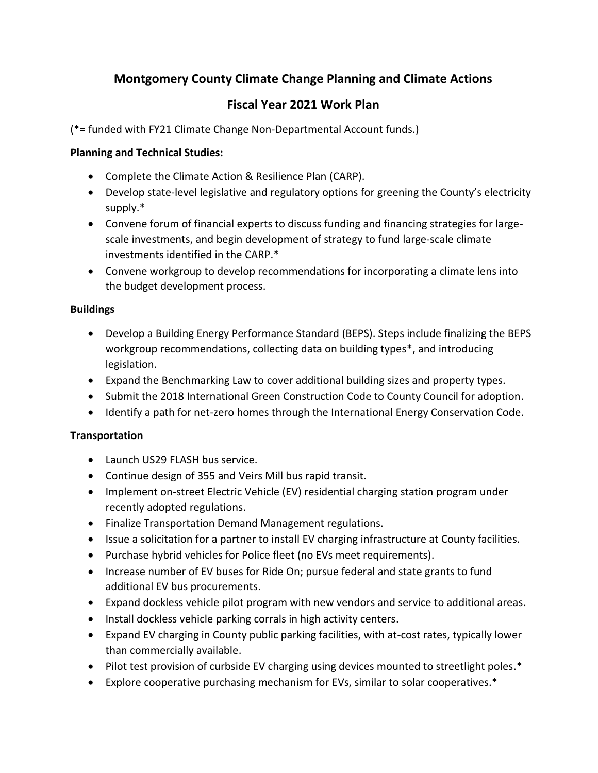# **Montgomery County Climate Change Planning and Climate Actions**

## **Fiscal Year 2021 Work Plan**

(\*= funded with FY21 Climate Change Non-Departmental Account funds.)

### **Planning and Technical Studies:**

- Complete the Climate Action & Resilience Plan (CARP).
- Develop state-level legislative and regulatory options for greening the County's electricity supply.\*
- Convene forum of financial experts to discuss funding and financing strategies for largescale investments, and begin development of strategy to fund large-scale climate investments identified in the CARP.\*
- Convene workgroup to develop recommendations for incorporating a climate lens into the budget development process.

### **Buildings**

- Develop a Building Energy Performance Standard (BEPS). Steps include finalizing the BEPS workgroup recommendations, collecting data on building types\*, and introducing legislation.
- Expand the Benchmarking Law to cover additional building sizes and property types.
- Submit the 2018 International Green Construction Code to County Council for adoption.
- Identify a path for net-zero homes through the International Energy Conservation Code.

### **Transportation**

- Launch US29 FLASH bus service.
- Continue design of 355 and Veirs Mill bus rapid transit.
- Implement on-street Electric Vehicle (EV) residential charging station program under recently adopted regulations.
- Finalize Transportation Demand Management regulations.
- Issue a solicitation for a partner to install EV charging infrastructure at County facilities.
- Purchase hybrid vehicles for Police fleet (no EVs meet requirements).
- Increase number of EV buses for Ride On; pursue federal and state grants to fund additional EV bus procurements.
- Expand dockless vehicle pilot program with new vendors and service to additional areas.
- Install dockless vehicle parking corrals in high activity centers.
- Expand EV charging in County public parking facilities, with at-cost rates, typically lower than commercially available.
- Pilot test provision of curbside EV charging using devices mounted to streetlight poles.\*
- Explore cooperative purchasing mechanism for EVs, similar to solar cooperatives.\*